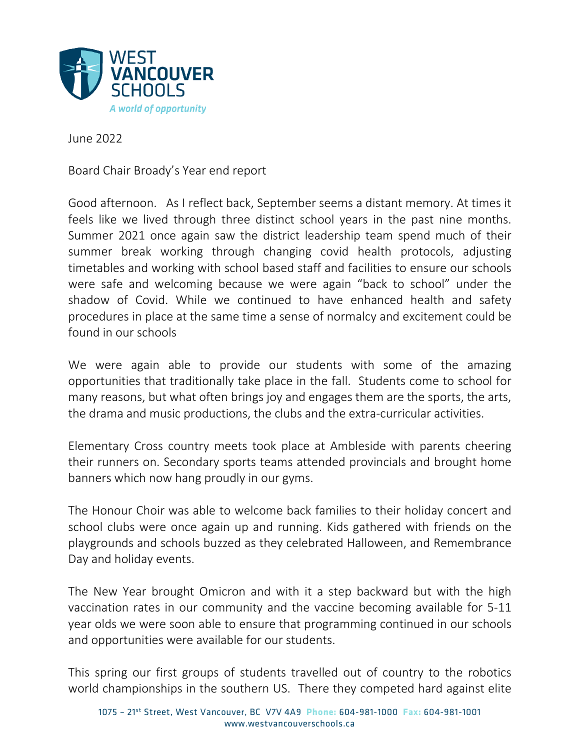

June 2022

Board Chair Broady's Year end report

Good afternoon. As I reflect back, September seems a distant memory. At times it feels like we lived through three distinct school years in the past nine months. Summer 2021 once again saw the district leadership team spend much of their summer break working through changing covid health protocols, adjusting timetables and working with school based staff and facilities to ensure our schools were safe and welcoming because we were again "back to school" under the shadow of Covid. While we continued to have enhanced health and safety procedures in place at the same time a sense of normalcy and excitement could be found in our schools

We were again able to provide our students with some of the amazing opportunities that traditionally take place in the fall. Students come to school for many reasons, but what often brings joy and engages them are the sports, the arts, the drama and music productions, the clubs and the extra-curricular activities.

Elementary Cross country meets took place at Ambleside with parents cheering their runners on. Secondary sports teams attended provincials and brought home banners which now hang proudly in our gyms.

The Honour Choir was able to welcome back families to their holiday concert and school clubs were once again up and running. Kids gathered with friends on the playgrounds and schools buzzed as they celebrated Halloween, and Remembrance Day and holiday events.

The New Year brought Omicron and with it a step backward but with the high vaccination rates in our community and the vaccine becoming available for 5-11 year olds we were soon able to ensure that programming continued in our schools and opportunities were available for our students.

This spring our first groups of students travelled out of country to the robotics world championships in the southern US. There they competed hard against elite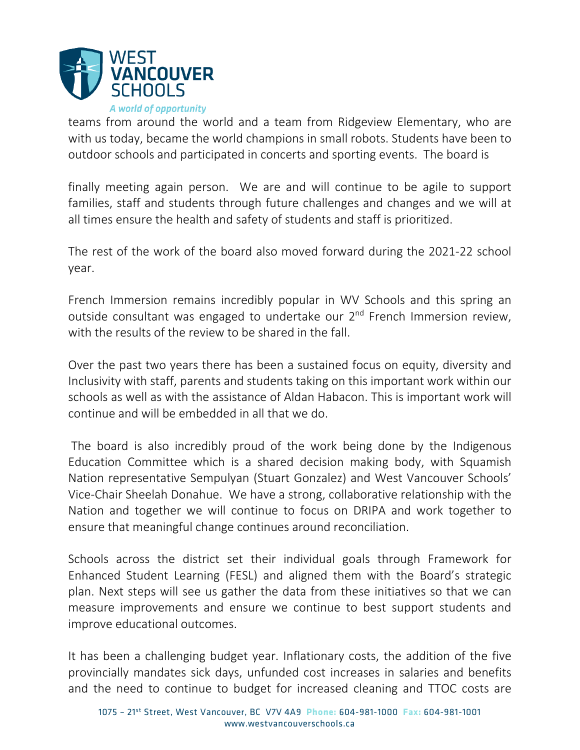

teams from around the world and a team from Ridgeview Elementary, who are with us today, became the world champions in small robots. Students have been to outdoor schools and participated in concerts and sporting events. The board is

finally meeting again person. We are and will continue to be agile to support families, staff and students through future challenges and changes and we will at all times ensure the health and safety of students and staff is prioritized.

The rest of the work of the board also moved forward during the 2021-22 school year.

French Immersion remains incredibly popular in WV Schools and this spring an outside consultant was engaged to undertake our  $2<sup>nd</sup>$  French Immersion review, with the results of the review to be shared in the fall.

Over the past two years there has been a sustained focus on equity, diversity and Inclusivity with staff, parents and students taking on this important work within our schools as well as with the assistance of Aldan Habacon. This is important work will continue and will be embedded in all that we do.

The board is also incredibly proud of the work being done by the Indigenous Education Committee which is a shared decision making body, with Squamish Nation representative Sempulyan (Stuart Gonzalez) and West Vancouver Schools' Vice-Chair Sheelah Donahue. We have a strong, collaborative relationship with the Nation and together we will continue to focus on DRIPA and work together to ensure that meaningful change continues around reconciliation.

Schools across the district set their individual goals through Framework for Enhanced Student Learning (FESL) and aligned them with the Board's strategic plan. Next steps will see us gather the data from these initiatives so that we can measure improvements and ensure we continue to best support students and improve educational outcomes.

It has been a challenging budget year. Inflationary costs, the addition of the five provincially mandates sick days, unfunded cost increases in salaries and benefits and the need to continue to budget for increased cleaning and TTOC costs are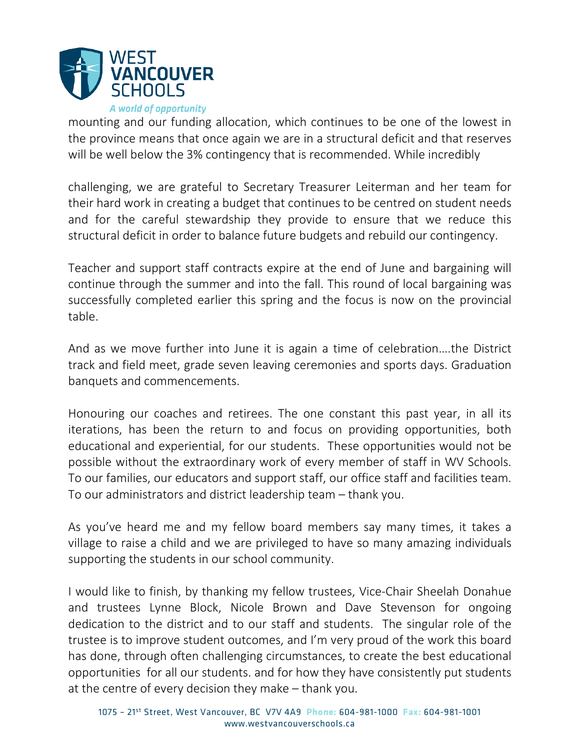

mounting and our funding allocation, which continues to be one of the lowest in the province means that once again we are in a structural deficit and that reserves will be well below the 3% contingency that is recommended. While incredibly

challenging, we are grateful to Secretary Treasurer Leiterman and her team for their hard work in creating a budget that continues to be centred on student needs and for the careful stewardship they provide to ensure that we reduce this structural deficit in order to balance future budgets and rebuild our contingency.

Teacher and support staff contracts expire at the end of June and bargaining will continue through the summer and into the fall. This round of local bargaining was successfully completed earlier this spring and the focus is now on the provincial table.

And as we move further into June it is again a time of celebration….the District track and field meet, grade seven leaving ceremonies and sports days. Graduation banquets and commencements.

Honouring our coaches and retirees. The one constant this past year, in all its iterations, has been the return to and focus on providing opportunities, both educational and experiential, for our students. These opportunities would not be possible without the extraordinary work of every member of staff in WV Schools. To our families, our educators and support staff, our office staff and facilities team. To our administrators and district leadership team – thank you.

As you've heard me and my fellow board members say many times, it takes a village to raise a child and we are privileged to have so many amazing individuals supporting the students in our school community.

I would like to finish, by thanking my fellow trustees, Vice-Chair Sheelah Donahue and trustees Lynne Block, Nicole Brown and Dave Stevenson for ongoing dedication to the district and to our staff and students. The singular role of the trustee is to improve student outcomes, and I'm very proud of the work this board has done, through often challenging circumstances, to create the best educational opportunities for all our students. and for how they have consistently put students at the centre of every decision they make – thank you.